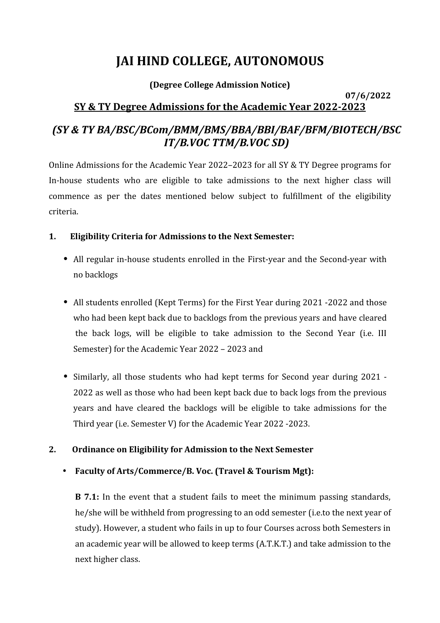# **JAI HIND COLLEGE, AUTONOMOUS**

### **(Degree College Admission Notice)**

#### **07/6/2022 SY & TY Degree Admissions for the Academic Year 2022-2023**

# *(SY & TY BA/BSC/BCom/BMM/BMS/BBA/BBI/BAF/BFM/BIOTECH/BSC IT/B.VOC TTM/B.VOC SD)*

Online Admissions for the Academic Year 2022–2023 for all SY & TY Degree programs for In-house students who are eligible to take admissions to the next higher class will commence as per the dates mentioned below subject to fulfillment of the eligibility criteria.

## **1. Eligibility Criteria for Admissions to the Next Semester:**

- **•** All regular in-house students enrolled in the First-year and the Second-year with no backlogs
- **•** All students enrolled (Kept Terms) for the First Year during 2021 -2022 and those who had been kept back due to backlogs from the previous years and have cleared the back logs, will be eligible to take admission to the Second Year (i.e. III Semester) for the Academic Year 2022 – 2023 and
- **•** Similarly, all those students who had kept terms for Second year during 2021 2022 as well as those who had been kept back due to back logs from the previous years and have cleared the backlogs will be eligible to take admissions for the Third year (i.e. Semester V) for the Academic Year 2022 -2023.

# **2. Ordinance on Eligibility for Admission to the Next Semester**

# **Faculty of Arts/Commerce/B. Voc. (Travel & Tourism Mgt):**

**B** 7.1: In the event that a student fails to meet the minimum passing standards, he/she will be withheld from progressing to an odd semester (i.e.to the next year of study). However, a student who fails in up to four Courses across both Semesters in an academic year will be allowed to keep terms (A.T.K.T.) and take admission to the next higher class.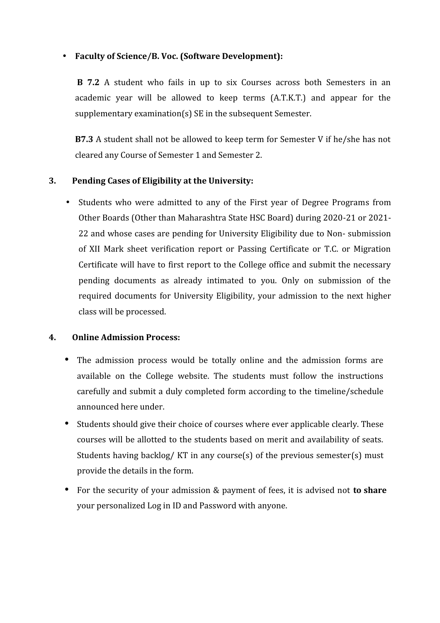#### **Faculty of Science/B. Voc. (Software Development):**

**B 7.2** A student who fails in up to six Courses across both Semesters in an academic year will be allowed to keep terms (A.T.K.T.) and appear for the supplementary examination(s) SE in the subsequent Semester.

**B7.3** A student shall not be allowed to keep term for Semester V if he/she has not cleared any Course of Semester 1 and Semester 2.

#### **3. Pending Cases of Eligibility at the University:**

• Students who were admitted to any of the First year of Degree Programs from Other Boards (Other than Maharashtra State HSC Board) during 2020-21 or 2021- 22 and whose cases are pending for University Eligibility due to Non- submission of XII Mark sheet verification report or Passing Certificate or T.C. or Migration Certificate will have to first report to the College office and submit the necessary pending documents as already intimated to you. Only on submission of the required documents for University Eligibility, your admission to the next higher class will be processed.

#### **4. Online Admission Process:**

- The admission process would be totally online and the admission forms are available on the College website. The students must follow the instructions carefully and submit a duly completed form according to the timeline/schedule announced here under.
- Students should give their choice of courses where ever applicable clearly. These courses will be allotted to the students based on merit and availability of seats. Students having backlog/ KT in any course(s) of the previous semester(s) must provide the details in the form.
- For the security of your admission & payment of fees, it is advised not **to share** your personalized Log in ID and Password with anyone.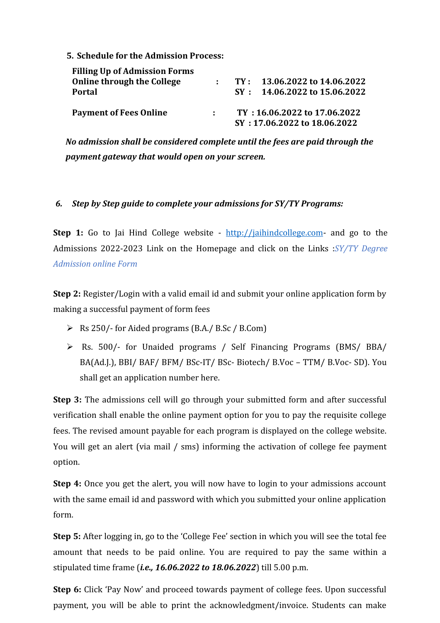**5. Schedule for the Admission Process:**

| <b>Filling Up of Admission Forms</b> |              |                                  |
|--------------------------------------|--------------|----------------------------------|
| Online through the College           | <b>Allen</b> | $TY: 13.06.2022$ to $14.06.2022$ |
| <b>Portal</b>                        |              | $SY: 14.06.2022$ to 15.06.2022   |
| <b>Payment of Fees Online</b>        |              | TY: 16.06.2022 to 17.06.2022     |
|                                      |              | SY: 17.06.2022 to 18.06.2022     |

*No admission shall be considered complete until the fees are paid through the payment gateway that would open on your screen.*

#### *6. Step by Step guide to complete your admissions for SY/TY Programs:*

**Step 1:** Go to Jai Hind College website - http://jaihindcollege.com- and go to the Admissions 2022-2023 Link on the Homepage and click on the Links :*SY/TY Degree Admission online Form*

**Step 2:** Register/Login with a valid email id and submit your online application form by making a successful payment of form fees

- Rs 250/- for Aided programs (B.A./ B.Sc / B.Com)
- Rs. 500/- for Unaided programs / Self Financing Programs (BMS/ BBA/ BA(Ad.J.), BBI/ BAF/ BFM/ BSc-IT/ BSc- Biotech/ B.Voc – TTM/ B.Voc- SD). You shall get an application number here.

**Step 3:** The admissions cell will go through your submitted form and after successful verification shall enable the online payment option for you to pay the requisite college fees. The revised amount payable for each program is displayed on the college website. You will get an alert (via mail / sms) informing the activation of college fee payment option.

**Step 4:** Once you get the alert, you will now have to login to your admissions account with the same email id and password with which you submitted your online application form.

**Step 5:** After logging in, go to the 'College Fee' section in which you will see the total fee amount that needs to be paid online. You are required to pay the same within a stipulated time frame (*i.e., 16.06.2022 to 18.06.2022*) till 5.00 p.m.

**Step 6:** Click 'Pay Now' and proceed towards payment of college fees. Upon successful payment, you will be able to print the acknowledgment/invoice. Students can make